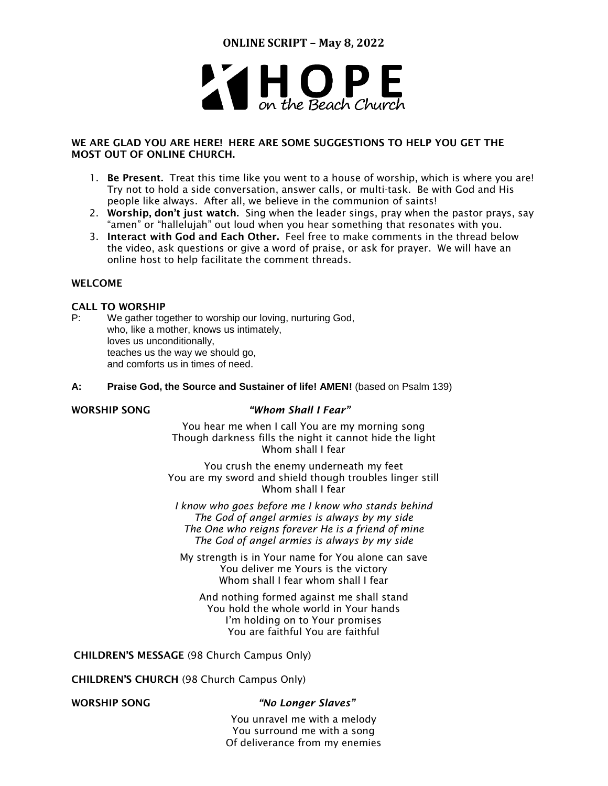

# WE ARE GLAD YOU ARE HERE! HERE ARE SOME SUGGESTIONS TO HELP YOU GET THE MOST OUT OF ONLINE CHURCH.

- 1. Be Present. Treat this time like you went to a house of worship, which is where you are! Try not to hold a side conversation, answer calls, or multi-task. Be with God and His people like always. After all, we believe in the communion of saints!
- 2. Worship, don't just watch. Sing when the leader sings, pray when the pastor prays, say "amen" or "hallelujah" out loud when you hear something that resonates with you.
- 3. Interact with God and Each Other. Feel free to make comments in the thread below the video, ask questions or give a word of praise, or ask for prayer. We will have an online host to help facilitate the comment threads.

# WELCOME

## CALL TO WORSHIP

- P: We gather together to worship our loving, nurturing God, who, like a mother, knows us intimately. loves us unconditionally, teaches us the way we should go, and comforts us in times of need.
- **A: Praise God, the Source and Sustainer of life! AMEN!** (based on Psalm 139)

## WORSHIP SONG *"Whom Shall I Fear"*

You hear me when I call You are my morning song Though darkness fills the night it cannot hide the light Whom shall I fear

You crush the enemy underneath my feet You are my sword and shield though troubles linger still Whom shall I fear

*I know who goes before me I know who stands behind The God of angel armies is always by my side The One who reigns forever He is a friend of mine The God of angel armies is always by my side*

My strength is in Your name for You alone can save You deliver me Yours is the victory Whom shall I fear whom shall I fear

And nothing formed against me shall stand You hold the whole world in Your hands I'm holding on to Your promises You are faithful You are faithful

CHILDREN'S MESSAGE (98 Church Campus Only)

CHILDREN'S CHURCH (98 Church Campus Only)

#### WORSHIP SONG *"No Longer Slaves"*

You unravel me with a melody You surround me with a song Of deliverance from my enemies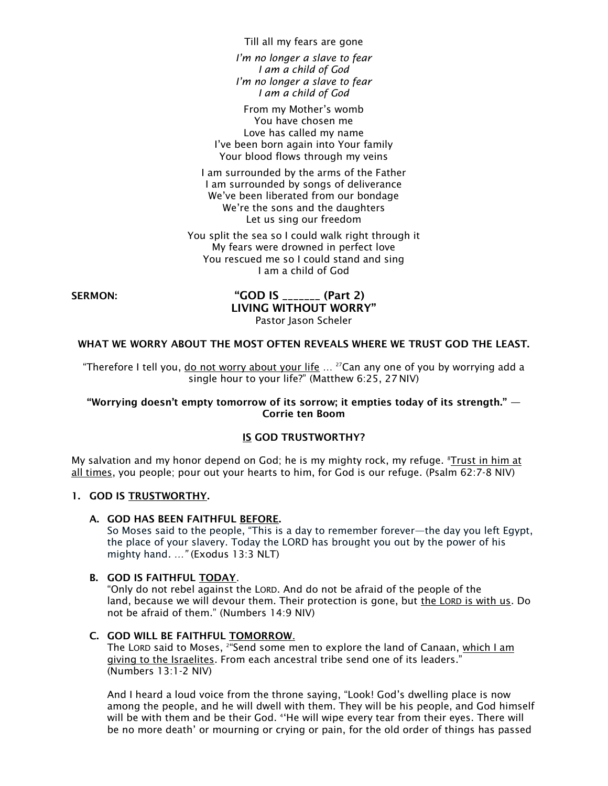Till all my fears are gone

*I'm no longer a slave to fear I am a child of God I'm no longer a slave to fear I am a child of God*

From my Mother's womb You have chosen me Love has called my name I've been born again into Your family Your blood flows through my veins

I am surrounded by the arms of the Father I am surrounded by songs of deliverance We've been liberated from our bondage We're the sons and the daughters Let us sing our freedom

You split the sea so I could walk right through it My fears were drowned in perfect love You rescued me so I could stand and sing I am a child of God

SERMON: "GOD IS \_\_\_\_\_\_\_ (Part 2) LIVING WITHOUT WORRY" Pastor Jason Scheler

#### WHAT WE WORRY ABOUT THE MOST OFTEN REVEALS WHERE WE TRUST GOD THE LEAST.

"Therefore I tell you, do not worry about your life ... <sup>27</sup>Can any one of you by worrying add a single hour to your life?" (Matthew 6:25, 27 NIV)

## "Worrying doesn't empty tomorrow of its sorrow; it empties today of its strength."  $-$ Corrie ten Boom

#### IS GOD TRUSTWORTHY?

My salvation and my honor depend on God; he is my mighty rock, my refuge. <sup>8</sup>Trust in him at all times, you people; pour out your hearts to him, for God is our refuge. (Psalm 62:7-8 NIV)

#### 1. GOD IS TRUSTWORTHY.

#### A. GOD HAS BEEN FAITHFUL BEFORE.

So Moses said to the people, "This is a day to remember forever—the day you left Egypt, the place of your slavery. Today the LORD has brought you out by the power of his mighty hand*. …"* (Exodus 13:3 NLT)

#### B. GOD IS FAITHFUL TODAY.

"Only do not rebel against the LORD. And do not be afraid of the people of the land, because we will devour them. Their protection is gone, but the LORD is with us. Do not be afraid of them." (Numbers 14:9 NIV)

## C. GOD WILL BE FAITHFUL TOMORROW.

The LORD said to Moses, <sup>2</sup>"Send some men to explore the land of Canaan, <u>which I am</u> giving to the Israelites. From each ancestral tribe send one of its leaders." (Numbers 13:1-2 NIV)

And I heard a loud voice from the throne saying, "Look! God's dwelling place is now among the people, and he will dwell with them. They will be his people, and God himself will be with them and be their God. <sup>4</sup> 'He will wipe every tear from their eyes. There will be no more death' or mourning or crying or pain, for the old order of things has passed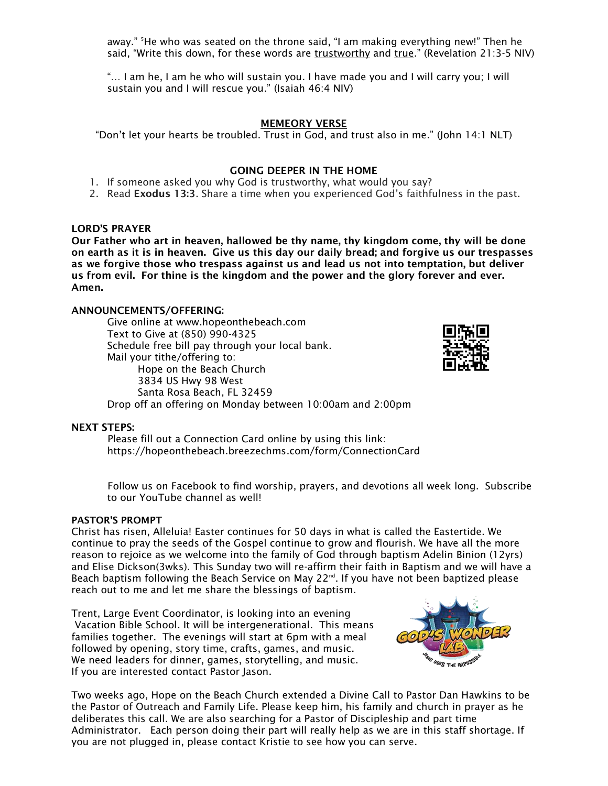away." <sup>5</sup>He who was seated on the throne said, "I am making everything new!" Then he said, "Write this down, for these words are trustworthy and true." (Revelation 21:3-5 NIV)

"… I am he, I am he who will sustain you. I have made you and I will carry you; I will sustain you and I will rescue you." (Isaiah 46:4 NIV)

# MEMEORY VERSE

"Don't let your hearts be troubled. Trust in God, and trust also in me." (John 14:1 NLT)

## GOING DEEPER IN THE HOME

- 1. If someone asked you why God is trustworthy, what would you say?
- 2. Read Exodus 13:3. Share a time when you experienced God's faithfulness in the past.

## LORD'S PRAYER

Our Father who art in heaven, hallowed be thy name, thy kingdom come, thy will be done on earth as it is in heaven. Give us this day our daily bread; and forgive us our trespasses as we forgive those who trespass against us and lead us not into temptation, but deliver us from evil. For thine is the kingdom and the power and the glory forever and ever. Amen.

# ANNOUNCEMENTS/OFFERING:

Give online at [www.hopeonthebeach.com](http://www.hopeonthebeach.com/) Text to Give at (850) 990-4325 Schedule free bill pay through your local bank. Mail your tithe/offering to: Hope on the Beach Church 3834 US Hwy 98 West Santa Rosa Beach, FL 32459 Drop off an offering on Monday between 10:00am and 2:00pm



NEXT STEPS:

Please fill out a Connection Card online by using this link: <https://hopeonthebeach.breezechms.com/form/ConnectionCard>

Follow us on Facebook to find worship, prayers, and devotions all week long. Subscribe to our YouTube channel as well!

## PASTOR'S PROMPT

Christ has risen, Alleluia! Easter continues for 50 days in what is called the Eastertide. We continue to pray the seeds of the Gospel continue to grow and flourish. We have all the more reason to rejoice as we welcome into the family of God through baptism Adelin Binion (12yrs) and Elise Dickson(3wks). This Sunday two will re-affirm their faith in Baptism and we will have a Beach baptism following the Beach Service on May  $22^{nd}$ . If you have not been baptized please reach out to me and let me share the blessings of baptism.

Trent, Large Event Coordinator, is looking into an evening Vacation Bible School. It will be intergenerational. This means families together. The evenings will start at 6pm with a meal followed by opening, story time, crafts, games, and music. We need leaders for dinner, games, storytelling, and music. If you are interested contact Pastor Jason.



Two weeks ago, Hope on the Beach Church extended a Divine Call to Pastor Dan Hawkins to be the Pastor of Outreach and Family Life. Please keep him, his family and church in prayer as he deliberates this call. We are also searching for a Pastor of Discipleship and part time Administrator. Each person doing their part will really help as we are in this staff shortage. If you are not plugged in, please contact Kristie to see how you can serve.